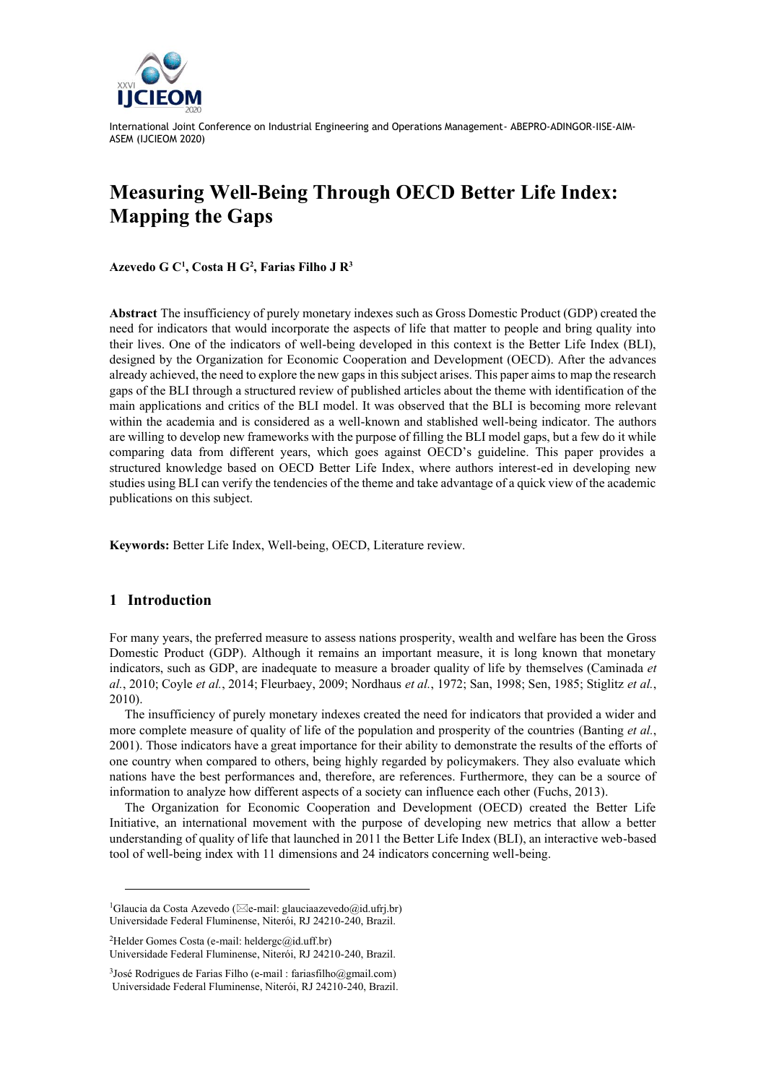

# **Measuring Well-Being Through OECD Better Life Index: Mapping the Gaps**

**Azevedo G C<sup>1</sup> , Costa H G<sup>2</sup> , Farias Filho J R<sup>3</sup>**

**Abstract** The insufficiency of purely monetary indexes such as Gross Domestic Product (GDP) created the need for indicators that would incorporate the aspects of life that matter to people and bring quality into their lives. One of the indicators of well-being developed in this context is the Better Life Index (BLI), designed by the Organization for Economic Cooperation and Development (OECD). After the advances already achieved, the need to explore the new gaps in this subject arises. This paper aims to map the research gaps of the BLI through a structured review of published articles about the theme with identification of the main applications and critics of the BLI model. It was observed that the BLI is becoming more relevant within the academia and is considered as a well-known and stablished well-being indicator. The authors are willing to develop new frameworks with the purpose of filling the BLI model gaps, but a few do it while comparing data from different years, which goes against OECD's guideline. This paper provides a structured knowledge based on OECD Better Life Index, where authors interest-ed in developing new studies using BLI can verify the tendencies of the theme and take advantage of a quick view of the academic publications on this subject.

**Keywords:** Better Life Index, Well-being, OECD, Literature review.

## **1 Introduction**

For many years, the preferred measure to assess nations prosperity, wealth and welfare has been the Gross Domestic Product (GDP). Although it remains an important measure, it is long known that monetary indicators, such as GDP, are inadequate to measure a broader quality of life by themselves (Caminada *et al.*, 2010; Coyle *et al.*, 2014; Fleurbaey, 2009; Nordhaus *et al.*, 1972; San, 1998; Sen, 1985; Stiglitz *et al.*, 2010).

The insufficiency of purely monetary indexes created the need for indicators that provided a wider and more complete measure of quality of life of the population and prosperity of the countries (Banting *et al.*, 2001). Those indicators have a great importance for their ability to demonstrate the results of the efforts of one country when compared to others, being highly regarded by policymakers. They also evaluate which nations have the best performances and, therefore, are references. Furthermore, they can be a source of information to analyze how different aspects of a society can influence each other (Fuchs, 2013).

The Organization for Economic Cooperation and Development (OECD) created the Better Life Initiative, an international movement with the purpose of developing new metrics that allow a better understanding of quality of life that launched in 2011 the Better Life Index (BLI), an interactive web-based tool of well-being index with 11 dimensions and 24 indicators concerning well-being.

<sup>&</sup>lt;sup>1</sup>Glaucia da Costa Azevedo ( $\boxtimes$ e-mail: glauciaazevedo@id.ufrj.br) Universidade Federal Fluminense, Niterói, RJ 24210-240, Brazil.

<sup>2</sup>Helder Gomes Costa (e-mail: heldergc@id.uff.br) Universidade Federal Fluminense, Niterói, RJ 24210-240, Brazil.

<sup>3</sup> José Rodrigues de Farias Filho (e-mail : fariasfilho@gmail.com) Universidade Federal Fluminense, Niterói, RJ 24210-240, Brazil.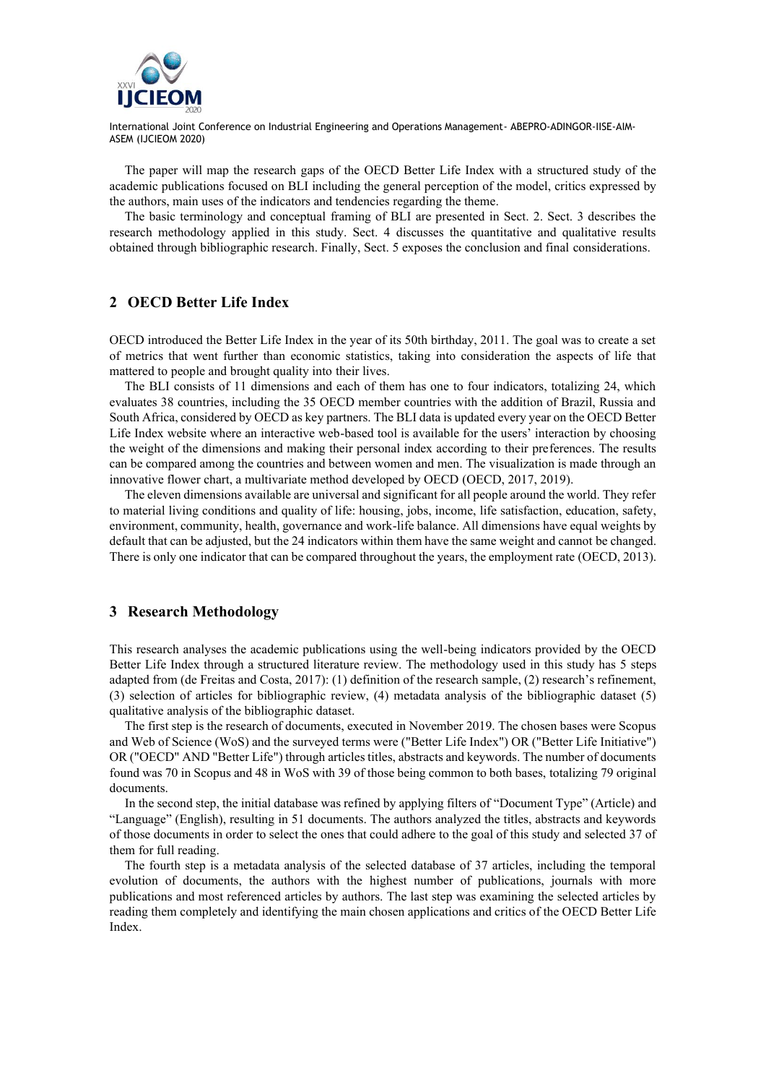

The paper will map the research gaps of the OECD Better Life Index with a structured study of the academic publications focused on BLI including the general perception of the model, critics expressed by the authors, main uses of the indicators and tendencies regarding the theme.

The basic terminology and conceptual framing of BLI are presented in Sect. 2. Sect. 3 describes the research methodology applied in this study. Sect. 4 discusses the quantitative and qualitative results obtained through bibliographic research. Finally, Sect. 5 exposes the conclusion and final considerations.

### **2 OECD Better Life Index**

OECD introduced the Better Life Index in the year of its 50th birthday, 2011. The goal was to create a set of metrics that went further than economic statistics, taking into consideration the aspects of life that mattered to people and brought quality into their lives.

The BLI consists of 11 dimensions and each of them has one to four indicators, totalizing 24, which evaluates 38 countries, including the 35 OECD member countries with the addition of Brazil, Russia and South Africa, considered by OECD as key partners. The BLI data is updated every year on the OECD Better Life Index website where an interactive web-based tool is available for the users' interaction by choosing the weight of the dimensions and making their personal index according to their preferences. The results can be compared among the countries and between women and men. The visualization is made through an innovative flower chart, a multivariate method developed by OECD (OECD, 2017, 2019).

The eleven dimensions available are universal and significant for all people around the world. They refer to material living conditions and quality of life: housing, jobs, income, life satisfaction, education, safety, environment, community, health, governance and work-life balance. All dimensions have equal weights by default that can be adjusted, but the 24 indicators within them have the same weight and cannot be changed. There is only one indicator that can be compared throughout the years, the employment rate (OECD, 2013).

#### **3 Research Methodology**

This research analyses the academic publications using the well-being indicators provided by the OECD Better Life Index through a structured literature review. The methodology used in this study has 5 steps adapted from (de Freitas and Costa, 2017): (1) definition of the research sample, (2) research's refinement, (3) selection of articles for bibliographic review, (4) metadata analysis of the bibliographic dataset (5) qualitative analysis of the bibliographic dataset.

The first step is the research of documents, executed in November 2019. The chosen bases were Scopus and Web of Science (WoS) and the surveyed terms were ("Better Life Index") OR ("Better Life Initiative") OR ("OECD" AND "Better Life") through articles titles, abstracts and keywords. The number of documents found was 70 in Scopus and 48 in WoS with 39 of those being common to both bases, totalizing 79 original documents.

In the second step, the initial database was refined by applying filters of "Document Type" (Article) and "Language" (English), resulting in 51 documents. The authors analyzed the titles, abstracts and keywords of those documents in order to select the ones that could adhere to the goal of this study and selected 37 of them for full reading.

The fourth step is a metadata analysis of the selected database of 37 articles, including the temporal evolution of documents, the authors with the highest number of publications, journals with more publications and most referenced articles by authors. The last step was examining the selected articles by reading them completely and identifying the main chosen applications and critics of the OECD Better Life Index.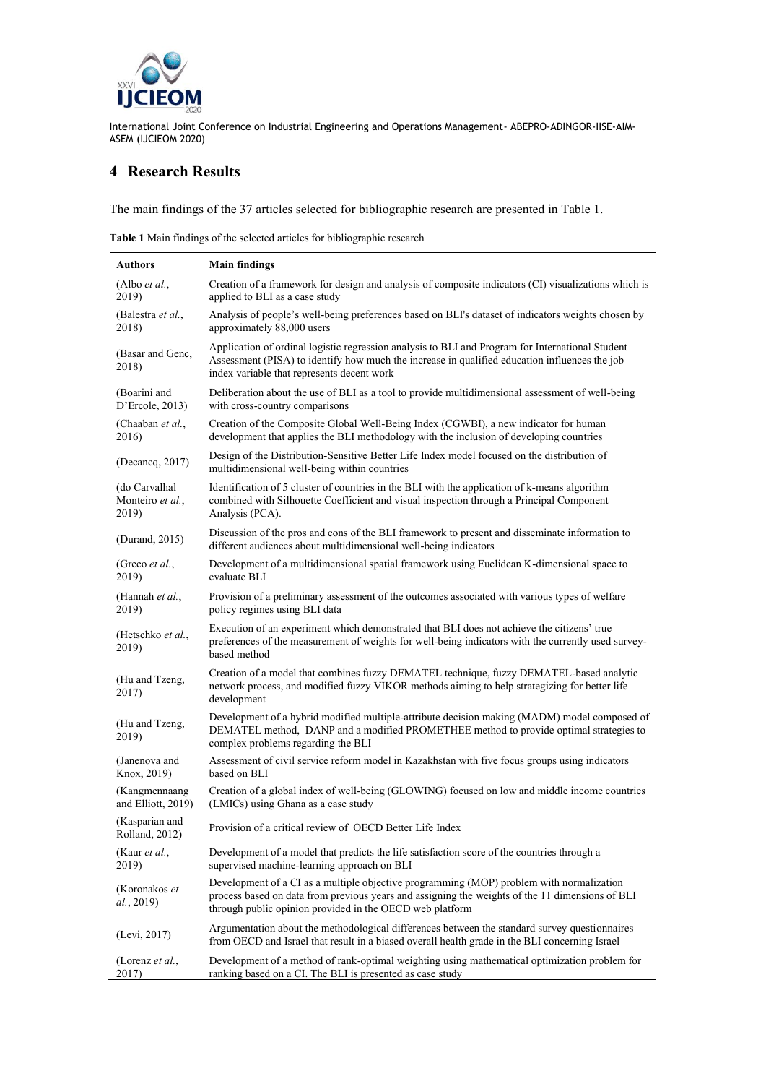

# **4 Research Results**

The main findings of the 37 articles selected for bibliographic research are presented in Table 1.

**Table 1** Main findings of the selected articles for bibliographic research

| <b>Authors</b>                   | <b>Main findings</b>                                                                                                                                                                                                                                    |  |
|----------------------------------|---------------------------------------------------------------------------------------------------------------------------------------------------------------------------------------------------------------------------------------------------------|--|
| (Albo $et al.,$                  | Creation of a framework for design and analysis of composite indicators (CI) visualizations which is                                                                                                                                                    |  |
| 2019)                            | applied to BLI as a case study                                                                                                                                                                                                                          |  |
| (Balestra et al.,                | Analysis of people's well-being preferences based on BLI's dataset of indicators weights chosen by                                                                                                                                                      |  |
| 2018)                            | approximately 88,000 users                                                                                                                                                                                                                              |  |
| (Basar and Genc,<br>2018)        | Application of ordinal logistic regression analysis to BLI and Program for International Student<br>Assessment (PISA) to identify how much the increase in qualified education influences the job<br>index variable that represents decent work         |  |
| (Boarini and                     | Deliberation about the use of BLI as a tool to provide multidimensional assessment of well-being                                                                                                                                                        |  |
| D'Ercole, 2013)                  | with cross-country comparisons                                                                                                                                                                                                                          |  |
| (Chaaban et al.,                 | Creation of the Composite Global Well-Being Index (CGWBI), a new indicator for human                                                                                                                                                                    |  |
| 2016)                            | development that applies the BLI methodology with the inclusion of developing countries                                                                                                                                                                 |  |
| (Decancq, 2017)                  | Design of the Distribution-Sensitive Better Life Index model focused on the distribution of<br>multidimensional well-being within countries                                                                                                             |  |
| (do Carvalhal                    | Identification of 5 cluster of countries in the BLI with the application of k-means algorithm                                                                                                                                                           |  |
| Monteiro et al.,                 | combined with Silhouette Coefficient and visual inspection through a Principal Component                                                                                                                                                                |  |
| 2019)                            | Analysis (PCA).                                                                                                                                                                                                                                         |  |
| (Durand, 2015)                   | Discussion of the pros and cons of the BLI framework to present and disseminate information to<br>different audiences about multidimensional well-being indicators                                                                                      |  |
| (Greco <i>et al.</i> ,           | Development of a multidimensional spatial framework using Euclidean K-dimensional space to                                                                                                                                                              |  |
| 2019)                            | evaluate BLI                                                                                                                                                                                                                                            |  |
| (Hannah et al.,                  | Provision of a preliminary assessment of the outcomes associated with various types of welfare                                                                                                                                                          |  |
| 2019)                            | policy regimes using BLI data                                                                                                                                                                                                                           |  |
| (Hetschko et al.,<br>2019)       | Execution of an experiment which demonstrated that BLI does not achieve the citizens' true<br>preferences of the measurement of weights for well-being indicators with the currently used survey-<br>based method                                       |  |
| (Hu and Tzeng,<br>2017)          | Creation of a model that combines fuzzy DEMATEL technique, fuzzy DEMATEL-based analytic<br>network process, and modified fuzzy VIKOR methods aiming to help strategizing for better life<br>development                                                 |  |
| (Hu and Tzeng,<br>2019)          | Development of a hybrid modified multiple-attribute decision making (MADM) model composed of<br>DEMATEL method, DANP and a modified PROMETHEE method to provide optimal strategies to<br>complex problems regarding the BLI                             |  |
| (Janenova and                    | Assessment of civil service reform model in Kazakhstan with five focus groups using indicators                                                                                                                                                          |  |
| Knox, 2019)                      | based on BLI                                                                                                                                                                                                                                            |  |
| (Kangmennaang                    | Creation of a global index of well-being (GLOWING) focused on low and middle income countries                                                                                                                                                           |  |
| and Elliott, 2019)               | (LMICs) using Ghana as a case study                                                                                                                                                                                                                     |  |
| (Kasparian and<br>Rolland, 2012) | Provision of a critical review of OECD Better Life Index                                                                                                                                                                                                |  |
| (Kaur <i>et al.</i> ,            | Development of a model that predicts the life satisfaction score of the countries through a                                                                                                                                                             |  |
| 2019)                            | supervised machine-learning approach on BLI                                                                                                                                                                                                             |  |
| (Koronakos et<br>al., 2019)      | Development of a CI as a multiple objective programming (MOP) problem with normalization<br>process based on data from previous years and assigning the weights of the 11 dimensions of BLI<br>through public opinion provided in the OECD web platform |  |
| (Levi, 2017)                     | Argumentation about the methodological differences between the standard survey questionnaires<br>from OECD and Israel that result in a biased overall health grade in the BLI concerning Israel                                                         |  |
| (Lorenz et al.,                  | Development of a method of rank-optimal weighting using mathematical optimization problem for                                                                                                                                                           |  |
| 2017)                            | ranking based on a CI. The BLI is presented as case study                                                                                                                                                                                               |  |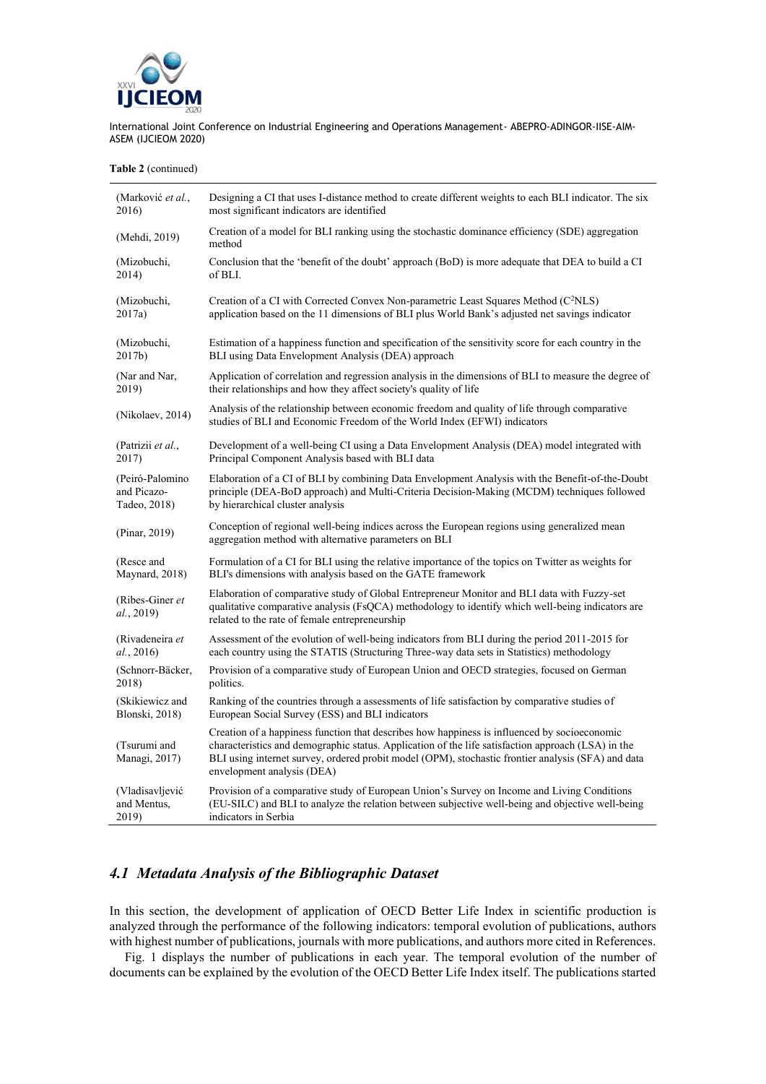

**Table 2** (continued)

| (Marković <i>et al.</i> ,     | Designing a CI that uses I-distance method to create different weights to each BLI indicator. The six                                                                                                                                                                                                                                  |  |
|-------------------------------|----------------------------------------------------------------------------------------------------------------------------------------------------------------------------------------------------------------------------------------------------------------------------------------------------------------------------------------|--|
| 2016)                         | most significant indicators are identified                                                                                                                                                                                                                                                                                             |  |
| (Mehdi, 2019)                 | Creation of a model for BLI ranking using the stochastic dominance efficiency (SDE) aggregation<br>method                                                                                                                                                                                                                              |  |
| (Mizobuchi,                   | Conclusion that the 'benefit of the doubt' approach (BoD) is more adequate that DEA to build a CI                                                                                                                                                                                                                                      |  |
| 2014)                         | of BLI.                                                                                                                                                                                                                                                                                                                                |  |
| (Mizobuchi,                   | Creation of a CI with Corrected Convex Non-parametric Least Squares Method (C <sup>2</sup> NLS)                                                                                                                                                                                                                                        |  |
| 2017a)                        | application based on the 11 dimensions of BLI plus World Bank's adjusted net savings indicator                                                                                                                                                                                                                                         |  |
| (Mizobuchi,                   | Estimation of a happiness function and specification of the sensitivity score for each country in the                                                                                                                                                                                                                                  |  |
| 2017b)                        | BLI using Data Envelopment Analysis (DEA) approach                                                                                                                                                                                                                                                                                     |  |
| (Nar and Nar,                 | Application of correlation and regression analysis in the dimensions of BLI to measure the degree of                                                                                                                                                                                                                                   |  |
| 2019)                         | their relationships and how they affect society's quality of life                                                                                                                                                                                                                                                                      |  |
| (Nikolaev, 2014)              | Analysis of the relationship between economic freedom and quality of life through comparative<br>studies of BLI and Economic Freedom of the World Index (EFWI) indicators                                                                                                                                                              |  |
| (Patrizii et al.,             | Development of a well-being CI using a Data Envelopment Analysis (DEA) model integrated with                                                                                                                                                                                                                                           |  |
| 2017)                         | Principal Component Analysis based with BLI data                                                                                                                                                                                                                                                                                       |  |
| (Peiró-Palomino               | Elaboration of a CI of BLI by combining Data Envelopment Analysis with the Benefit-of-the-Doubt                                                                                                                                                                                                                                        |  |
| and Picazo-                   | principle (DEA-BoD approach) and Multi-Criteria Decision-Making (MCDM) techniques followed                                                                                                                                                                                                                                             |  |
| Tadeo, 2018)                  | by hierarchical cluster analysis                                                                                                                                                                                                                                                                                                       |  |
| (Pinar, 2019)                 | Conception of regional well-being indices across the European regions using generalized mean<br>aggregation method with alternative parameters on BLI                                                                                                                                                                                  |  |
| (Resce and                    | Formulation of a CI for BLI using the relative importance of the topics on Twitter as weights for                                                                                                                                                                                                                                      |  |
| Maynard, 2018)                | BLI's dimensions with analysis based on the GATE framework                                                                                                                                                                                                                                                                             |  |
| (Ribes-Giner et<br>al., 2019) | Elaboration of comparative study of Global Entrepreneur Monitor and BLI data with Fuzzy-set<br>qualitative comparative analysis (FsQCA) methodology to identify which well-being indicators are<br>related to the rate of female entrepreneurship                                                                                      |  |
| (Rivadeneira et               | Assessment of the evolution of well-being indicators from BLI during the period 2011-2015 for                                                                                                                                                                                                                                          |  |
| al., 2016)                    | each country using the STATIS (Structuring Three-way data sets in Statistics) methodology                                                                                                                                                                                                                                              |  |
| (Schnorr-Bäcker,              | Provision of a comparative study of European Union and OECD strategies, focused on German                                                                                                                                                                                                                                              |  |
| 2018)                         | politics.                                                                                                                                                                                                                                                                                                                              |  |
| (Skikiewicz and               | Ranking of the countries through a assessments of life satisfaction by comparative studies of                                                                                                                                                                                                                                          |  |
| Blonski, 2018)                | European Social Survey (ESS) and BLI indicators                                                                                                                                                                                                                                                                                        |  |
| (Tsurumi and<br>Managi, 2017) | Creation of a happiness function that describes how happiness is influenced by socioeconomic<br>characteristics and demographic status. Application of the life satisfaction approach (LSA) in the<br>BLI using internet survey, ordered probit model (OPM), stochastic frontier analysis (SFA) and data<br>envelopment analysis (DEA) |  |
| (Vladisavljević               | Provision of a comparative study of European Union's Survey on Income and Living Conditions                                                                                                                                                                                                                                            |  |
| and Mentus,                   | (EU-SILC) and BLI to analyze the relation between subjective well-being and objective well-being                                                                                                                                                                                                                                       |  |
| 2019)                         | indicators in Serbia                                                                                                                                                                                                                                                                                                                   |  |

# *4.1 Metadata Analysis of the Bibliographic Dataset*

÷,

In this section, the development of application of OECD Better Life Index in scientific production is analyzed through the performance of the following indicators: temporal evolution of publications, authors with highest number of publications, journals with more publications, and authors more cited in References.

Fig. 1 displays the number of publications in each year. The temporal evolution of the number of documents can be explained by the evolution of the OECD Better Life Index itself. The publications started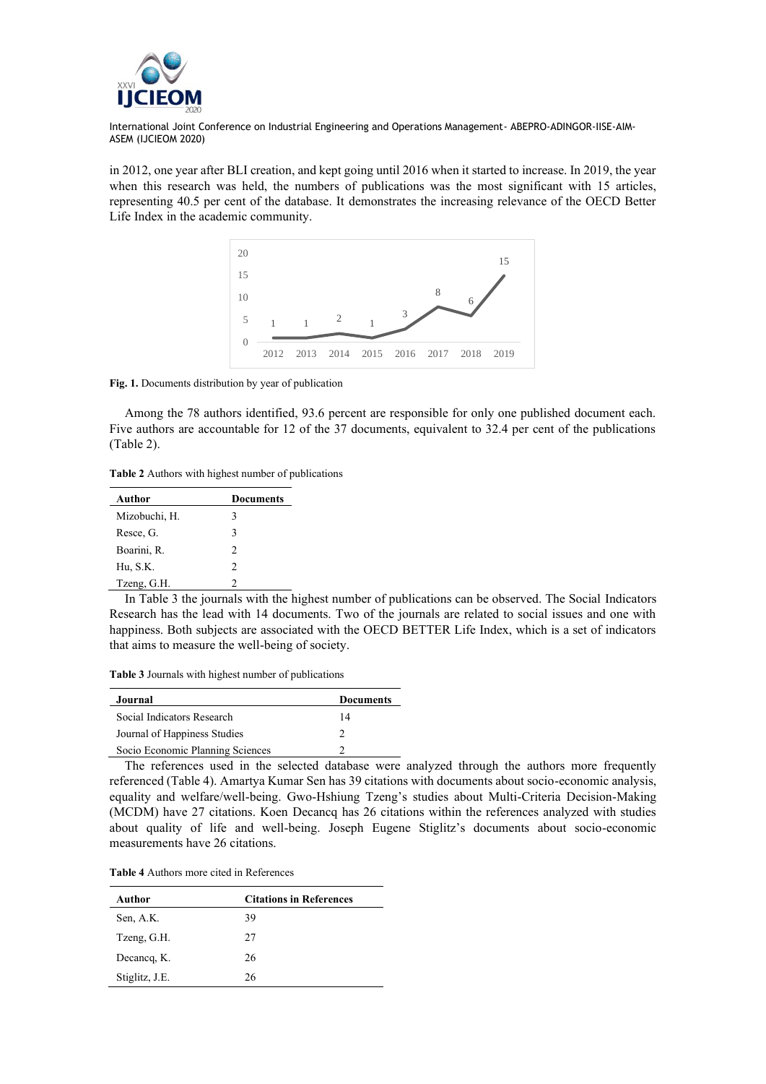

in 2012, one year after BLI creation, and kept going until 2016 when it started to increase. In 2019, the year when this research was held, the numbers of publications was the most significant with 15 articles, representing 40.5 per cent of the database. It demonstrates the increasing relevance of the OECD Better Life Index in the academic community.



**Fig. 1.** Documents distribution by year of publication

Among the 78 authors identified, 93.6 percent are responsible for only one published document each. Five authors are accountable for 12 of the 37 documents, equivalent to 32.4 per cent of the publications (Table 2).

**Table 2** Authors with highest number of publications

| Author        | Documents |
|---------------|-----------|
| Mizobuchi, H. | 3         |
| Resce, G.     | 3         |
| Boarini, R.   | 2         |
| Hu, S.K.      | 2         |
| Tzeng, G.H.   |           |

In Table 3 the journals with the highest number of publications can be observed. The Social Indicators Research has the lead with 14 documents. Two of the journals are related to social issues and one with happiness. Both subjects are associated with the OECD BETTER Life Index, which is a set of indicators that aims to measure the well-being of society.

**Table 3** Journals with highest number of publications

| Journal                          | <b>Documents</b> |
|----------------------------------|------------------|
| Social Indicators Research       | 14               |
| Journal of Happiness Studies     |                  |
| Socio Economic Planning Sciences |                  |

The references used in the selected database were analyzed through the authors more frequently referenced (Table 4). Amartya Kumar Sen has 39 citations with documents about socio-economic analysis, equality and welfare/well-being. Gwo-Hshiung Tzeng's studies about Multi-Criteria Decision-Making (MCDM) have 27 citations. Koen Decancq has 26 citations within the references analyzed with studies about quality of life and well-being. Joseph Eugene Stiglitz's documents about socio-economic measurements have 26 citations.

**Table 4** Authors more cited in References

| Author         | <b>Citations in References</b> |
|----------------|--------------------------------|
| Sen, A.K.      | 39                             |
| Tzeng, G.H.    | 27                             |
| Decancq, K.    | 26                             |
| Stiglitz, J.E. | 26                             |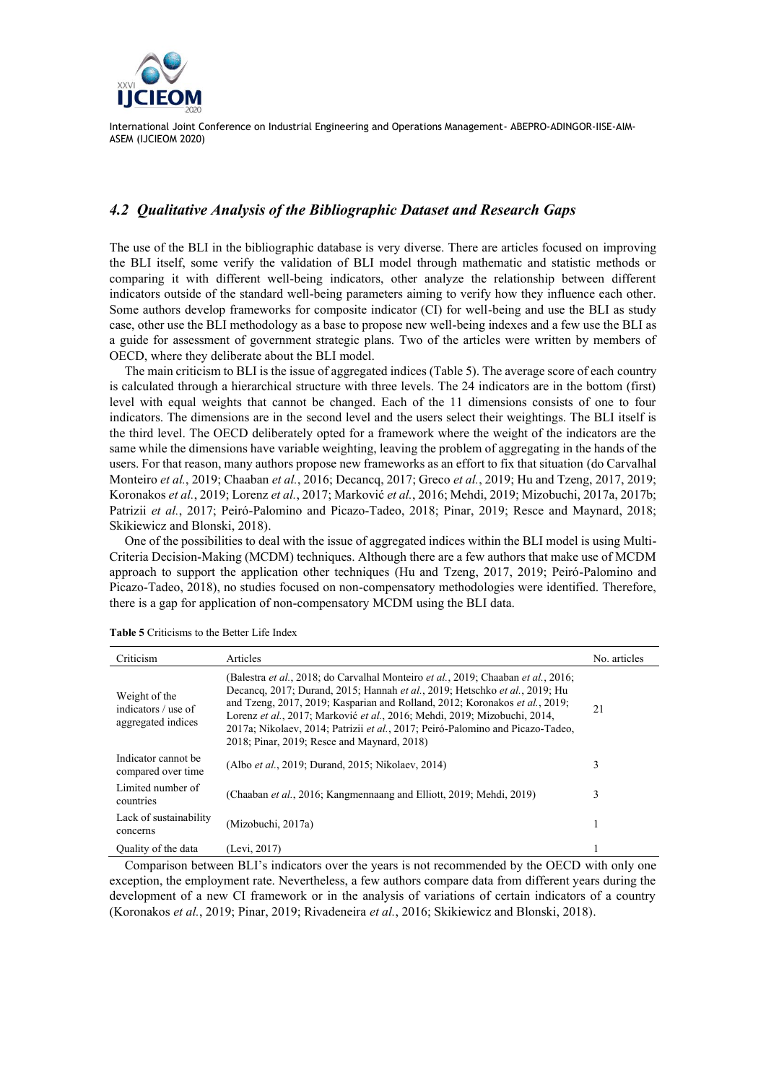

## *4.2 Qualitative Analysis of the Bibliographic Dataset and Research Gaps*

The use of the BLI in the bibliographic database is very diverse. There are articles focused on improving the BLI itself, some verify the validation of BLI model through mathematic and statistic methods or comparing it with different well-being indicators, other analyze the relationship between different indicators outside of the standard well-being parameters aiming to verify how they influence each other. Some authors develop frameworks for composite indicator (CI) for well-being and use the BLI as study case, other use the BLI methodology as a base to propose new well-being indexes and a few use the BLI as a guide for assessment of government strategic plans. Two of the articles were written by members of OECD, where they deliberate about the BLI model.

The main criticism to BLI is the issue of aggregated indices (Table 5). The average score of each country is calculated through a hierarchical structure with three levels. The 24 indicators are in the bottom (first) level with equal weights that cannot be changed. Each of the 11 dimensions consists of one to four indicators. The dimensions are in the second level and the users select their weightings. The BLI itself is the third level. The OECD deliberately opted for a framework where the weight of the indicators are the same while the dimensions have variable weighting, leaving the problem of aggregating in the hands of the users. For that reason, many authors propose new frameworks as an effort to fix that situation (do Carvalhal Monteiro *et al.*, 2019; Chaaban *et al.*, 2016; Decancq, 2017; Greco *et al.*, 2019; Hu and Tzeng, 2017, 2019; Koronakos *et al.*, 2019; Lorenz *et al.*, 2017; Marković *et al.*, 2016; Mehdi, 2019; Mizobuchi, 2017a, 2017b; Patrizii *et al.*, 2017; Peiró-Palomino and Picazo-Tadeo, 2018; Pinar, 2019; Resce and Maynard, 2018; Skikiewicz and Blonski, 2018).

One of the possibilities to deal with the issue of aggregated indices within the BLI model is using Multi-Criteria Decision-Making (MCDM) techniques. Although there are a few authors that make use of MCDM approach to support the application other techniques (Hu and Tzeng, 2017, 2019; Peiró-Palomino and Picazo-Tadeo, 2018), no studies focused on non-compensatory methodologies were identified. Therefore, there is a gap for application of non-compensatory MCDM using the BLI data.

| Criticism                                                  | Articles                                                                                                                                                                                                                                                                                                                                                                                                                                                                              | No. articles |
|------------------------------------------------------------|---------------------------------------------------------------------------------------------------------------------------------------------------------------------------------------------------------------------------------------------------------------------------------------------------------------------------------------------------------------------------------------------------------------------------------------------------------------------------------------|--------------|
| Weight of the<br>indicators / use of<br>aggregated indices | (Balestra <i>et al.</i> , 2018; do Carvalhal Monteiro <i>et al.</i> , 2019; Chaaban <i>et al.</i> , 2016;<br>Decancq, 2017; Durand, 2015; Hannah et al., 2019; Hetschko et al., 2019; Hu<br>and Tzeng, 2017, 2019; Kasparian and Rolland, 2012; Koronakos et al., 2019;<br>Lorenz et al., 2017; Marković et al., 2016; Mehdi, 2019; Mizobuchi, 2014,<br>2017a; Nikolaev, 2014; Patrizii et al., 2017; Peiró-Palomino and Picazo-Tadeo,<br>2018; Pinar, 2019; Resce and Maynard, 2018) | 21           |
| Indicator cannot be<br>compared over time                  | (Albo et al., 2019; Durand, 2015; Nikolaev, 2014)                                                                                                                                                                                                                                                                                                                                                                                                                                     | 3            |
| Limited number of<br>countries                             | (Chaaban et al., 2016; Kangmennaang and Elliott, 2019; Mehdi, 2019)                                                                                                                                                                                                                                                                                                                                                                                                                   | 3            |
| Lack of sustainability<br>concerns                         | (Mizobuchi, 2017a)                                                                                                                                                                                                                                                                                                                                                                                                                                                                    |              |
| Quality of the data                                        | (Levi, 2017)                                                                                                                                                                                                                                                                                                                                                                                                                                                                          |              |

**Table 5** Criticisms to the Better Life Index

Comparison between BLI's indicators over the years is not recommended by the OECD with only one exception, the employment rate. Nevertheless, a few authors compare data from different years during the development of a new CI framework or in the analysis of variations of certain indicators of a country (Koronakos *et al.*, 2019; Pinar, 2019; Rivadeneira *et al.*, 2016; Skikiewicz and Blonski, 2018).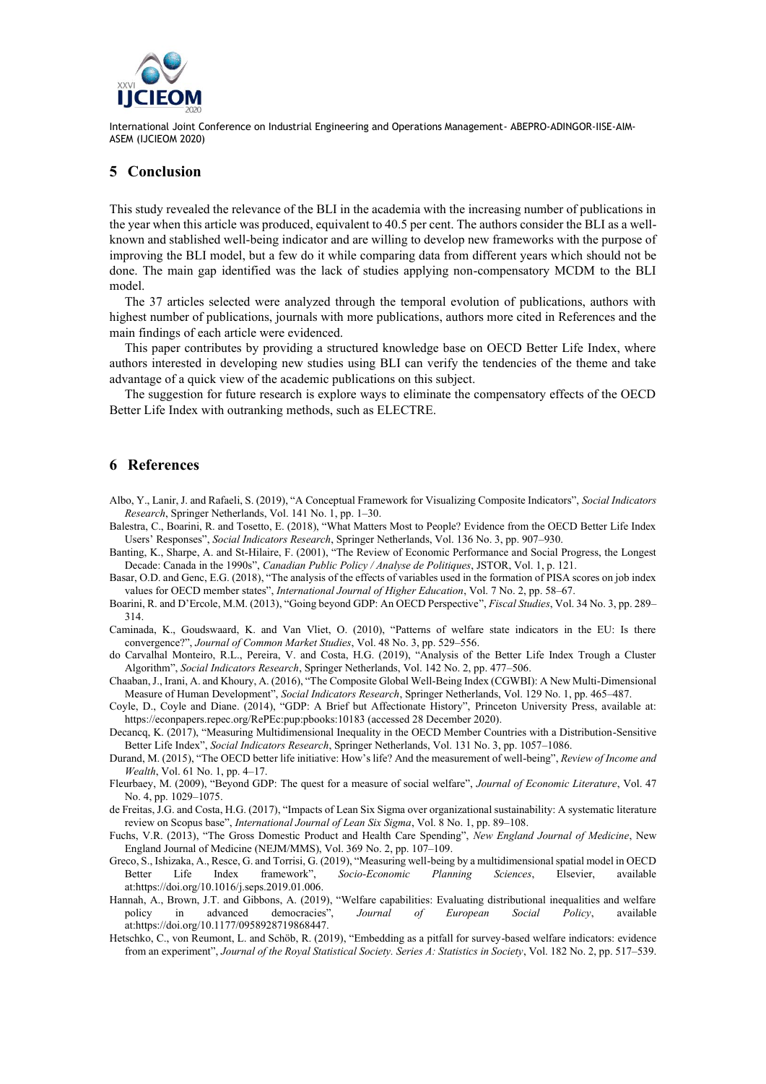

## **5 Conclusion**

This study revealed the relevance of the BLI in the academia with the increasing number of publications in the year when this article was produced, equivalent to 40.5 per cent. The authors consider the BLI as a wellknown and stablished well-being indicator and are willing to develop new frameworks with the purpose of improving the BLI model, but a few do it while comparing data from different years which should not be done. The main gap identified was the lack of studies applying non-compensatory MCDM to the BLI model.

The 37 articles selected were analyzed through the temporal evolution of publications, authors with highest number of publications, journals with more publications, authors more cited in References and the main findings of each article were evidenced.

This paper contributes by providing a structured knowledge base on OECD Better Life Index, where authors interested in developing new studies using BLI can verify the tendencies of the theme and take advantage of a quick view of the academic publications on this subject.

The suggestion for future research is explore ways to eliminate the compensatory effects of the OECD Better Life Index with outranking methods, such as ELECTRE.

#### **6 References**

- Albo, Y., Lanir, J. and Rafaeli, S. (2019), "A Conceptual Framework for Visualizing Composite Indicators", *Social Indicators Research*, Springer Netherlands, Vol. 141 No. 1, pp. 1–30.
- Balestra, C., Boarini, R. and Tosetto, E. (2018), "What Matters Most to People? Evidence from the OECD Better Life Index Users' Responses", *Social Indicators Research*, Springer Netherlands, Vol. 136 No. 3, pp. 907–930.
- Banting, K., Sharpe, A. and St-Hilaire, F. (2001), "The Review of Economic Performance and Social Progress, the Longest Decade: Canada in the 1990s", *Canadian Public Policy / Analyse de Politiques*, JSTOR, Vol. 1, p. 121.
- Basar, O.D. and Genc, E.G. (2018), "The analysis of the effects of variables used in the formation of PISA scores on job index values for OECD member states", *International Journal of Higher Education*, Vol. 7 No. 2, pp. 58–67.
- Boarini, R. and D'Ercole, M.M. (2013), "Going beyond GDP: An OECD Perspective", *Fiscal Studies*, Vol. 34 No. 3, pp. 289– 314.
- Caminada, K., Goudswaard, K. and Van Vliet, O. (2010), "Patterns of welfare state indicators in the EU: Is there convergence?", *Journal of Common Market Studies*, Vol. 48 No. 3, pp. 529–556.

do Carvalhal Monteiro, R.L., Pereira, V. and Costa, H.G. (2019), "Analysis of the Better Life Index Trough a Cluster Algorithm", *Social Indicators Research*, Springer Netherlands, Vol. 142 No. 2, pp. 477–506.

- Chaaban, J., Irani, A. and Khoury, A. (2016), "The Composite Global Well-Being Index (CGWBI): A New Multi-Dimensional Measure of Human Development", *Social Indicators Research*, Springer Netherlands, Vol. 129 No. 1, pp. 465–487.
- Coyle, D., Coyle and Diane. (2014), "GDP: A Brief but Affectionate History", Princeton University Press, available at: https://econpapers.repec.org/RePEc:pup:pbooks:10183 (accessed 28 December 2020).
- Decancq, K. (2017), "Measuring Multidimensional Inequality in the OECD Member Countries with a Distribution-Sensitive Better Life Index", *Social Indicators Research*, Springer Netherlands, Vol. 131 No. 3, pp. 1057–1086.
- Durand, M. (2015), "The OECD better life initiative: How's life? And the measurement of well-being", *Review of Income and Wealth*, Vol. 61 No. 1, pp. 4–17.
- Fleurbaey, M. (2009), "Beyond GDP: The quest for a measure of social welfare", *Journal of Economic Literature*, Vol. 47 No. 4, pp. 1029–1075.

de Freitas, J.G. and Costa, H.G. (2017), "Impacts of Lean Six Sigma over organizational sustainability: A systematic literature review on Scopus base", *International Journal of Lean Six Sigma*, Vol. 8 No. 1, pp. 89–108.

Fuchs, V.R. (2013), "The Gross Domestic Product and Health Care Spending", *New England Journal of Medicine*, New England Journal of Medicine (NEJM/MMS), Vol. 369 No. 2, pp. 107–109.

- Greco, S., Ishizaka, A., Resce, G. and Torrisi, G. (2019), "Measuring well-being by a multidimensional spatial model in OECD Better Life Index framework", *Socio-Economic Planning Sciences*, Elsevier, available at:https://doi.org/10.1016/j.seps.2019.01.006.
- Hannah, A., Brown, J.T. and Gibbons, A. (2019), "Welfare capabilities: Evaluating distributional inequalities and welfare policy in advanced democracies", *Journal of European Social Policy*, available at:https://doi.org/10.1177/0958928719868447.
- Hetschko, C., von Reumont, L. and Schöb, R. (2019), "Embedding as a pitfall for survey-based welfare indicators: evidence from an experiment", *Journal of the Royal Statistical Society. Series A: Statistics in Society*, Vol. 182 No. 2, pp. 517–539.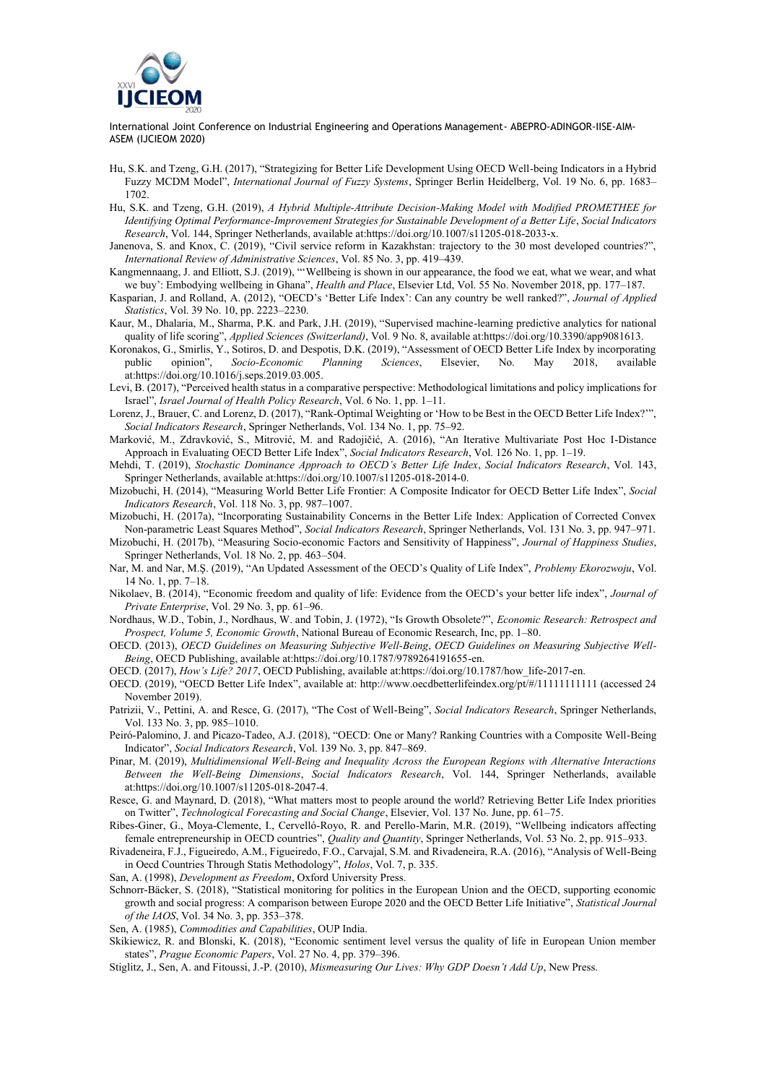

- Hu, S.K. and Tzeng, G.H. (2017), "Strategizing for Better Life Development Using OECD Well-being Indicators in a Hybrid Fuzzy MCDM Model", *International Journal of Fuzzy Systems*, Springer Berlin Heidelberg, Vol. 19 No. 6, pp. 1683– 1702.
- Hu, S.K. and Tzeng, G.H. (2019), *A Hybrid Multiple-Attribute Decision-Making Model with Modified PROMETHEE for Identifying Optimal Performance-Improvement Strategies for Sustainable Development of a Better Life*, *Social Indicators Research*, Vol. 144, Springer Netherlands, available at:https://doi.org/10.1007/s11205-018-2033-x.
- Janenova, S. and Knox, C. (2019), "Civil service reform in Kazakhstan: trajectory to the 30 most developed countries?", *International Review of Administrative Sciences*, Vol. 85 No. 3, pp. 419–439.
- Kangmennaang, J. and Elliott, S.J. (2019), "'Wellbeing is shown in our appearance, the food we eat, what we wear, and what we buy': Embodying wellbeing in Ghana", *Health and Place*, Elsevier Ltd, Vol. 55 No. November 2018, pp. 177–187.
- Kasparian, J. and Rolland, A. (2012), "OECD's 'Better Life Index': Can any country be well ranked?", *Journal of Applied Statistics*, Vol. 39 No. 10, pp. 2223–2230.
- Kaur, M., Dhalaria, M., Sharma, P.K. and Park, J.H. (2019), "Supervised machine-learning predictive analytics for national quality of life scoring", *Applied Sciences (Switzerland)*, Vol. 9 No. 8, available at:https://doi.org/10.3390/app9081613.
- Koronakos, G., Smirlis, Y., Sotiros, D. and Despotis, D.K. (2019), "Assessment of OECD Better Life Index by incorporating public opinion", *Socio-Economic Planning Sciences*, Elsevier, No. May 2018, available at:https://doi.org/10.1016/j.seps.2019.03.005.
- Levi, B. (2017), "Perceived health status in a comparative perspective: Methodological limitations and policy implications for Israel", *Israel Journal of Health Policy Research*, Vol. 6 No. 1, pp. 1–11.
- Lorenz, J., Brauer, C. and Lorenz, D. (2017), "Rank-Optimal Weighting or 'How to be Best in the OECD Better Life Index?'", *Social Indicators Research*, Springer Netherlands, Vol. 134 No. 1, pp. 75–92.
- Marković, M., Zdravković, S., Mitrović, M. and Radojičić, A. (2016), "An Iterative Multivariate Post Hoc I-Distance Approach in Evaluating OECD Better Life Index", *Social Indicators Research*, Vol. 126 No. 1, pp. 1–19.
- Mehdi, T. (2019), *Stochastic Dominance Approach to OECD's Better Life Index*, *Social Indicators Research*, Vol. 143, Springer Netherlands, available at:https://doi.org/10.1007/s11205-018-2014-0.
- Mizobuchi, H. (2014), "Measuring World Better Life Frontier: A Composite Indicator for OECD Better Life Index", *Social Indicators Research*, Vol. 118 No. 3, pp. 987–1007.
- Mizobuchi, H. (2017a), "Incorporating Sustainability Concerns in the Better Life Index: Application of Corrected Convex Non-parametric Least Squares Method", *Social Indicators Research*, Springer Netherlands, Vol. 131 No. 3, pp. 947–971.
- Mizobuchi, H. (2017b), "Measuring Socio-economic Factors and Sensitivity of Happiness", *Journal of Happiness Studies*, Springer Netherlands, Vol. 18 No. 2, pp. 463–504.
- Nar, M. and Nar, M.Ş. (2019), "An Updated Assessment of the OECD's Quality of Life Index", *Problemy Ekorozwoju*, Vol. 14 No. 1, pp. 7–18.
- Nikolaev, B. (2014), "Economic freedom and quality of life: Evidence from the OECD's your better life index", *Journal of Private Enterprise*, Vol. 29 No. 3, pp. 61–96.
- Nordhaus, W.D., Tobin, J., Nordhaus, W. and Tobin, J. (1972), "Is Growth Obsolete?", *Economic Research: Retrospect and Prospect, Volume 5, Economic Growth*, National Bureau of Economic Research, Inc, pp. 1–80.
- OECD. (2013), *OECD Guidelines on Measuring Subjective Well-Being*, *OECD Guidelines on Measuring Subjective Well-Being*, OECD Publishing, available at:https://doi.org/10.1787/9789264191655-en.

OECD. (2017), *How's Life? 2017*, OECD Publishing, available at:https://doi.org/10.1787/how\_life-2017-en.

- OECD. (2019), "OECD Better Life Index", available at: http://www.oecdbetterlifeindex.org/pt/#/11111111111 (accessed 24 November 2019).
- Patrizii, V., Pettini, A. and Resce, G. (2017), "The Cost of Well-Being", *Social Indicators Research*, Springer Netherlands, Vol. 133 No. 3, pp. 985–1010.
- Peiró-Palomino, J. and Picazo-Tadeo, A.J. (2018), "OECD: One or Many? Ranking Countries with a Composite Well-Being Indicator", *Social Indicators Research*, Vol. 139 No. 3, pp. 847–869.
- Pinar, M. (2019), *Multidimensional Well-Being and Inequality Across the European Regions with Alternative Interactions Between the Well-Being Dimensions*, *Social Indicators Research*, Vol. 144, Springer Netherlands, available at:https://doi.org/10.1007/s11205-018-2047-4.
- Resce, G. and Maynard, D. (2018), "What matters most to people around the world? Retrieving Better Life Index priorities on Twitter", *Technological Forecasting and Social Change*, Elsevier, Vol. 137 No. June, pp. 61–75.
- Ribes-Giner, G., Moya-Clemente, I., Cervelló-Royo, R. and Perello-Marin, M.R. (2019), "Wellbeing indicators affecting female entrepreneurship in OECD countries", *Quality and Quantity*, Springer Netherlands, Vol. 53 No. 2, pp. 915–933.
- Rivadeneira, F.J., Figueiredo, A.M., Figueiredo, F.O., Carvajal, S.M. and Rivadeneira, R.A. (2016), "Analysis of Well-Being in Oecd Countries Through Statis Methodology", *Holos*, Vol. 7, p. 335.

San, A. (1998), *Development as Freedom*, Oxford University Press.

Schnorr-Bäcker, S. (2018), "Statistical monitoring for politics in the European Union and the OECD, supporting economic growth and social progress: A comparison between Europe 2020 and the OECD Better Life Initiative", *Statistical Journal of the IAOS*, Vol. 34 No. 3, pp. 353–378.

Sen, A. (1985), *Commodities and Capabilities*, OUP India.

- Skikiewicz, R. and Blonski, K. (2018), "Economic sentiment level versus the quality of life in European Union member states", *Prague Economic Papers*, Vol. 27 No. 4, pp. 379–396.
- Stiglitz, J., Sen, A. and Fitoussi, J.-P. (2010), *Mismeasuring Our Lives: Why GDP Doesn't Add Up*, New Press.